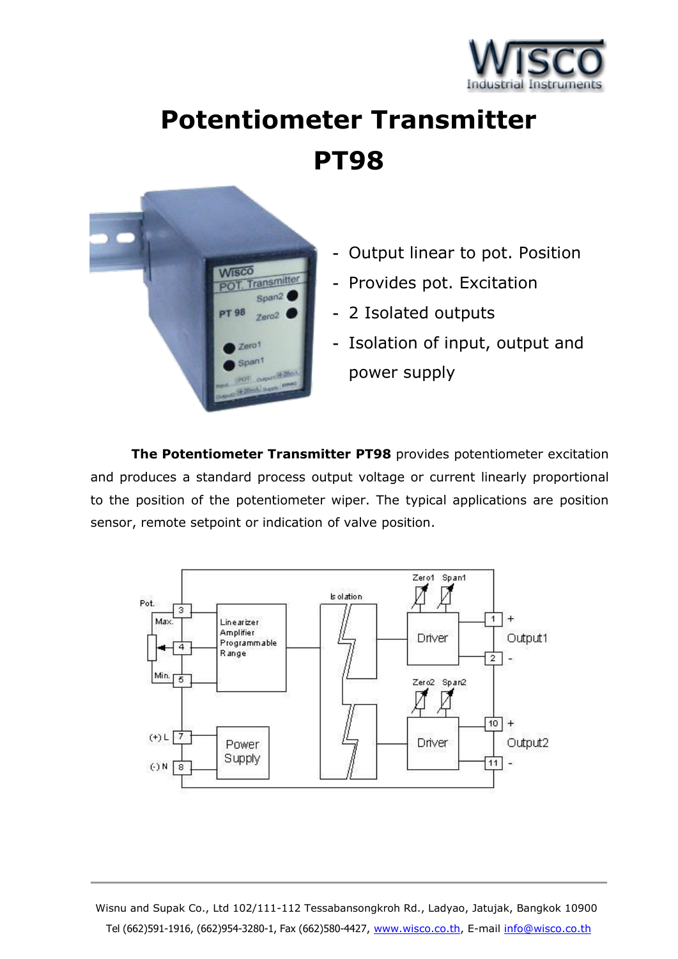

## **Potentiometer Transmitter PT98**



- **-** Output linear to pot. Position
- **-** Provides pot. Excitation
- **-** 2 Isolated outputs
- **-** Isolation of input, output and power supply

**The Potentiometer Transmitter PT98** provides potentiometer excitation and produces a standard process output voltage or current linearly proportional to the position of the potentiometer wiper. The typical applications are position sensor, remote setpoint or indication of valve position.



Wisnu and Supak Co., Ltd 102/111-112 Tessabansongkroh Rd., Ladyao, Jatujak, Bangkok 10900 Tel (662)591-1916, (662)954-3280-1, Fax (662)580-4427, www.wisco.co.th, E-mail info@wisco.co.th